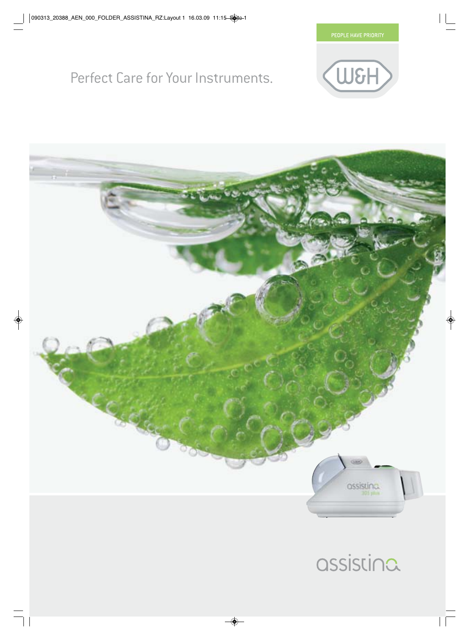

## Perfect Care for Your Instruments.





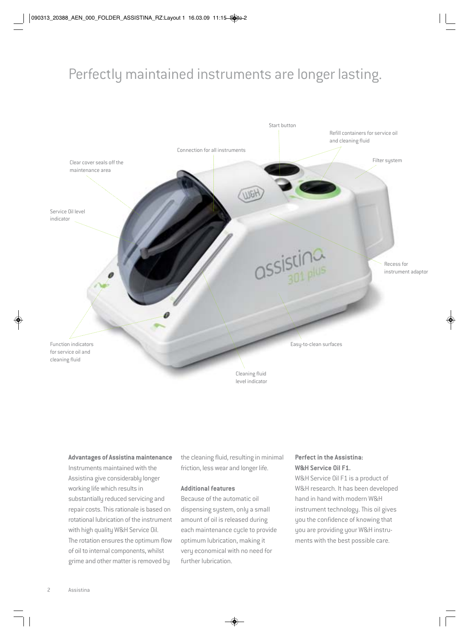## Perfectly maintained instruments are longer lasting.



#### **Advantages of Assistina maintenance**

Instruments maintained with the Assistina give considerably longer working life which results in substantially reduced servicing and repair costs. This rationale is based on rotational lubrication of the instrument with high quality W&H Service Oil. The rotation ensures the optimum flow of oil to internal components, whilst grime and other matter is removed by

the cleaning fluid, resulting in minimal friction, less wear and longer life.

#### **Additional features**

Because of the automatic oil dispensing system, only a small amount of oil is released during each maintenance cycle to provide optimum lubrication, making it very economical with no need for further lubrication.

### **Perfect in the Assistina: W&H Service Oil F1.**

W&H Service Oil F1 is a product of W&H research. It has been developed hand in hand with modern W&H instrument technology. This oil gives you the confidence of knowing that you are providing your W&H instruments with the best possible care.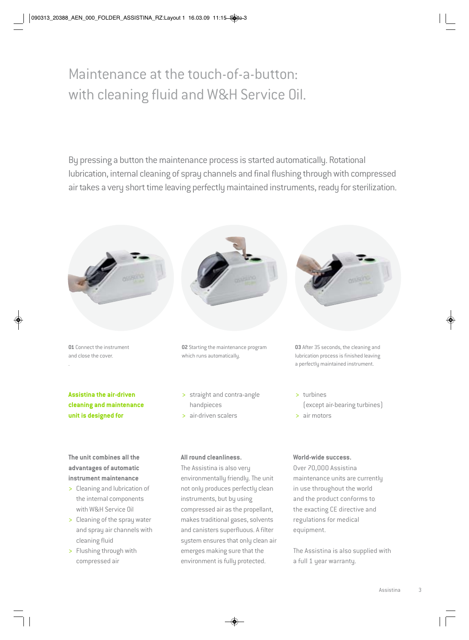# Maintenance at the touch-of-a-button: with cleaning fluid and W&H Service Oil.

By pressing a button the maintenance process is started automatically. Rotational lubrication, internal cleaning of spray channels and final flushing through with compressed air takes a very short time leaving perfectly maintained instruments, ready for sterilization.



and canisters superfluous. A filter system ensures that only clean air emerges making sure that the environment is fully protected.

- and spray air channels with cleaning fluid
- > Flushing through with compressed air

The Assistina is also supplied with a full 1 year warranty.

equipment.